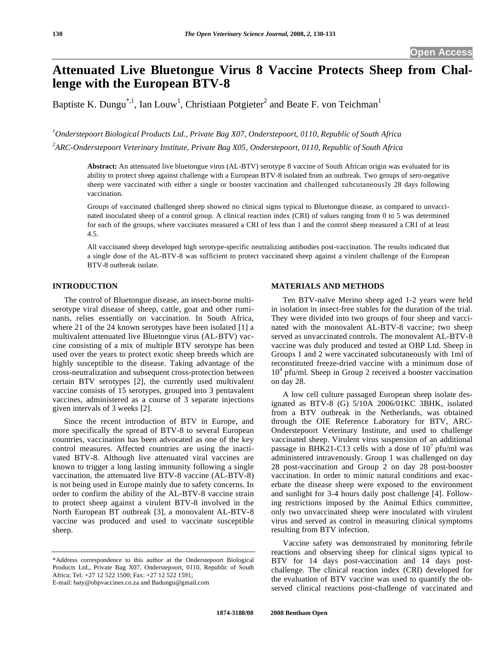# **Attenuated Live Bluetongue Virus 8 Vaccine Protects Sheep from Challenge with the European BTV-8**

Baptiste K. Dungu<sup>\*,1</sup>, Ian Louw<sup>1</sup>, Christiaan Potgieter<sup>2</sup> and Beate F. von Teichman<sup>1</sup>

*1 Onderstepoort Biological Products Ltd., Private Bag X07, Onderstepoort, 0110, Republic of South Africa 2 ARC-Onderstepoort Veterinary Institute, Private Bag X05, Onderstepoort, 0110, Republic of South Africa* 

**Abstract:** An attenuated live bluetongue virus (AL-BTV) serotype 8 vaccine of South African origin was evaluated for its ability to protect sheep against challenge with a European BTV-8 isolated from an outbreak. Two groups of sero-negative sheep were vaccinated with either a single or booster vaccination and challenged subcutaneously 28 days following vaccination.

Groups of vaccinated challenged sheep showed no clinical signs typical to Bluetongue disease, as compared to unvaccinated inoculated sheep of a control group. A clinical reaction index (CRI) of values ranging from 0 to 5 was determined for each of the groups, where vaccinates measured a CRI of less than 1 and the control sheep measured a CRI of at least 4.5.

All vaccinated sheep developed high serotype-specific neutralizing antibodies post-vaccination. The results indicated that a single dose of the AL-BTV-8 was sufficient to protect vaccinated sheep against a virulent challenge of the European BTV-8 outbreak isolate.

#### **INTRODUCTION**

 The control of Bluetongue disease, an insect-borne multiserotype viral disease of sheep, cattle, goat and other ruminants, relies essentially on vaccination. In South Africa, where 21 of the 24 known serotypes have been isolated [1] a multivalent attenuated live Bluetongue virus (AL-BTV) vaccine consisting of a mix of multiple BTV serotype has been used over the years to protect exotic sheep breeds which are highly susceptible to the disease. Taking advantage of the cross-neutralization and subsequent cross-protection between certain BTV serotypes [2], the currently used multivalent vaccine consists of 15 serotypes, grouped into 3 pentavalent vaccines, administered as a course of 3 separate injections given intervals of 3 weeks [2].

 Since the recent introduction of BTV in Europe, and more specifically the spread of BTV-8 to several European countries, vaccination has been advocated as one of the key control measures. Affected countries are using the inactivated BTV-8. Although live attenuated viral vaccines are known to trigger a long lasting immunity following a single vaccination, the attenuated live BTV-8 vaccine (AL-BTV-8) is not being used in Europe mainly due to safety concerns. In order to confirm the ability of the AL-BTV-8 vaccine strain to protect sheep against a virulent BTV-8 involved in the North European BT outbreak [3], a monovalent AL-BTV-8 vaccine was produced and used to vaccinate susceptible sheep.

#### **MATERIALS AND METHODS**

 Ten BTV-naïve Merino sheep aged 1-2 years were held in isolation in insect-free stables for the duration of the trial. They were divided into two groups of four sheep and vaccinated with the monovalent AL-BTV-8 vaccine; two sheep served as unvaccinated controls. The monovalent AL-BTV-8 vaccine was duly produced and tested at OBP Ltd. Sheep in Groups 1 and 2 were vaccinated subcutaneously with 1ml of reconstituted freeze-dried vaccine with a minimum dose of 10<sup>4</sup> pfu/ml. Sheep in Group 2 received a booster vaccination on day 28.

 A low cell culture passaged European sheep isolate designated as BTV-8 (G) 5/10A 2006/01KC 3BHK, isolated from a BTV outbreak in the Netherlands, was obtained through the OIE Reference Laboratory for BTV, ARC-Onderstepoort Veterinary Institute, and used to challenge vaccinated sheep. Virulent virus suspension of an additional passage in BHK21-C13 cells with a dose of  $10^7$  pfu/ml was administered intravenously. Group 1 was challenged on day 28 post-vaccination and Group 2 on day 28 post-booster vaccination. In order to mimic natural conditions and exacerbate the disease sheep were exposed to the environment and sunlight for 3-4 hours daily post challenge [4]. Following restrictions imposed by the Animal Ethics committee, only two unvaccinated sheep were inoculated with virulent virus and served as control in measuring clinical symptoms resulting from BTV infection.

 Vaccine safety was demonstrated by monitoring febrile reactions and observing sheep for clinical signs typical to BTV for 14 days post-vaccination and 14 days postchallenge. The clinical reaction index (CRI) developed for the evaluation of BTV vaccine was used to quantify the observed clinical reactions post-challenge of vaccinated and

<sup>\*</sup>Address correspondence to this author at the Onderstepoort Biological Products Ltd., Private Bag X07, Onderstepoort, 0110, Republic of South Africa; Tel: +27 12 522 1500; Fax: +27 12 522 1591;

E-mail: baty@obpvaccines.co.za and Badungu@gmail.com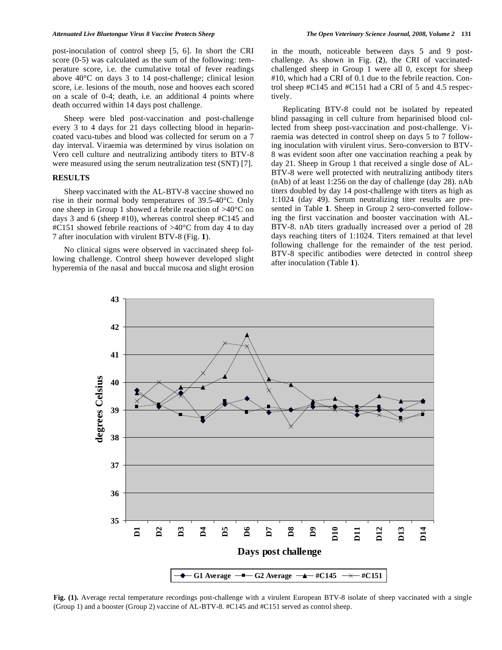post-inoculation of control sheep [5, 6]. In short the CRI score (0-5) was calculated as the sum of the following: temperature score, i.e. the cumulative total of fever readings above 40°C on days 3 to 14 post-challenge; clinical lesion score, i.e. lesions of the mouth, nose and hooves each scored on a scale of 0-4; death, i.e. an additional 4 points where death occurred within 14 days post challenge.

 Sheep were bled post-vaccination and post-challenge every 3 to 4 days for 21 days collecting blood in heparincoated vacu-tubes and blood was collected for serum on a 7 day interval. Viraemia was determined by virus isolation on Vero cell culture and neutralizing antibody titers to BTV-8 were measured using the serum neutralization test (SNT) [7].

#### **RESULTS**

 Sheep vaccinated with the AL-BTV-8 vaccine showed no rise in their normal body temperatures of 39.5-40°C. Only one sheep in Group 1 showed a febrile reaction of >40°C on days 3 and 6 (sheep #10), whereas control sheep #C145 and #C151 showed febrile reactions of >40°C from day 4 to day 7 after inoculation with virulent BTV-8 (Fig. **1**).

 No clinical signs were observed in vaccinated sheep following challenge. Control sheep however developed slight hyperemia of the nasal and buccal mucosa and slight erosion in the mouth, noticeable between days 5 and 9 postchallenge. As shown in Fig. (**2**), the CRI of vaccinatedchallenged sheep in Group 1 were all 0, except for sheep #10, which had a CRI of 0.1 due to the febrile reaction. Control sheep #C145 and #C151 had a CRI of 5 and 4.5 respectively.

 Replicating BTV-8 could not be isolated by repeated blind passaging in cell culture from heparinised blood collected from sheep post-vaccination and post-challenge. Viraemia was detected in control sheep on days 5 to 7 following inoculation with virulent virus. Sero-conversion to BTV-8 was evident soon after one vaccination reaching a peak by day 21. Sheep in Group 1 that received a single dose of AL-BTV-8 were well protected with neutralizing antibody titers (nAb) of at least 1:256 on the day of challenge (day 28). nAb titers doubled by day 14 post-challenge with titers as high as 1:1024 (day 49). Serum neutralizing titer results are presented in Table **1**. Sheep in Group 2 sero-converted following the first vaccination and booster vaccination with AL-BTV-8. nAb titers gradually increased over a period of 28 days reaching titers of 1:1024. Titers remained at that level following challenge for the remainder of the test period. BTV-8 specific antibodies were detected in control sheep after inoculation (Table **1**).



**Fig. (1).** Average rectal temperature recordings post-challenge with a virulent European BTV-8 isolate of sheep vaccinated with a single (Group 1) and a booster (Group 2) vaccine of AL-BTV-8. #C145 and #C151 served as control sheep.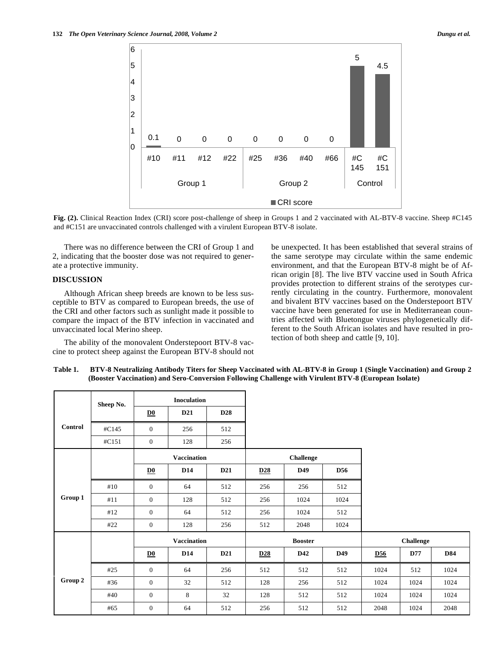

**Fig. (2).** Clinical Reaction Index (CRI) score post-challenge of sheep in Groups 1 and 2 vaccinated with AL-BTV-8 vaccine. Sheep #C145 and #C151 are unvaccinated controls challenged with a virulent European BTV-8 isolate.

 There was no difference between the CRI of Group 1 and 2, indicating that the booster dose was not required to generate a protective immunity.

### **DISCUSSION**

 Although African sheep breeds are known to be less susceptible to BTV as compared to European breeds, the use of the CRI and other factors such as sunlight made it possible to compare the impact of the BTV infection in vaccinated and unvaccinated local Merino sheep.

 The ability of the monovalent Onderstepoort BTV-8 vaccine to protect sheep against the European BTV-8 should not be unexpected. It has been established that several strains of the same serotype may circulate within the same endemic environment, and that the European BTV-8 might be of African origin [8]. The live BTV vaccine used in South Africa provides protection to different strains of the serotypes currently circulating in the country. Furthermore, monovalent and bivalent BTV vaccines based on the Onderstepoort BTV vaccine have been generated for use in Mediterranean countries affected with Bluetongue viruses phylogenetically different to the South African isolates and have resulted in protection of both sheep and cattle [9, 10].

| Control | Sheep No. | <b>Inoculation</b>        |                 |                 |                  |      |            |                  |      |            |
|---------|-----------|---------------------------|-----------------|-----------------|------------------|------|------------|------------------|------|------------|
|         |           | D <sub>0</sub>            | D <sub>21</sub> | <b>D28</b>      |                  |      |            |                  |      |            |
|         | #C145     | $\overline{0}$            | 256             | 512             |                  |      |            |                  |      |            |
|         | #C151     | $\mathbf{0}$              | 128             | 256             |                  |      |            |                  |      |            |
|         |           | Vaccination               |                 |                 | <b>Challenge</b> |      |            |                  |      |            |
| Group 1 |           | $\overline{\mathbf{D0}}$  | D <sub>14</sub> | D <sub>21</sub> | D <sub>28</sub>  | D49  | <b>D56</b> |                  |      |            |
|         | #10       | $\overline{0}$            | 64              | 512             | 256              | 256  | 512        |                  |      |            |
|         | #11       | $\overline{0}$            | 128             | 512             | 256              | 1024 | 1024       |                  |      |            |
|         | #12       | $\mathbf{0}$              | 64              | 512             | 256              | 1024 | 512        |                  |      |            |
|         | #22       | $\mathbf{0}$              | 128             | 256             | 512              | 2048 | 1024       |                  |      |            |
|         |           | <b>Vaccination</b>        |                 |                 | <b>Booster</b>   |      |            | <b>Challenge</b> |      |            |
|         |           | $\underline{\mathbf{D0}}$ | <b>D14</b>      | D <sub>21</sub> | D28              | D42  | D49        | <u>D56</u>       | D77  | <b>D84</b> |
| Group 2 | #25       | $\mathbf{0}$              | 64              | 256             | 512              | 512  | 512        | 1024             | 512  | 1024       |
|         | #36       | $\boldsymbol{0}$          | 32              | 512             | 128              | 256  | 512        | 1024             | 1024 | 1024       |
|         | #40       | $\mathbf{0}$              | 8               | 32              | 128              | 512  | 512        | 1024             | 1024 | 1024       |
|         | #65       | $\mathbf{0}$              | 64              | 512             | 256              | 512  | 512        | 2048             | 1024 | 2048       |

**Table 1. BTV-8 Neutralizing Antibody Titers for Sheep Vaccinated with AL-BTV-8 in Group 1 (Single Vaccination) and Group 2 (Booster Vaccination) and Sero-Conversion Following Challenge with Virulent BTV-8 (European Isolate)**